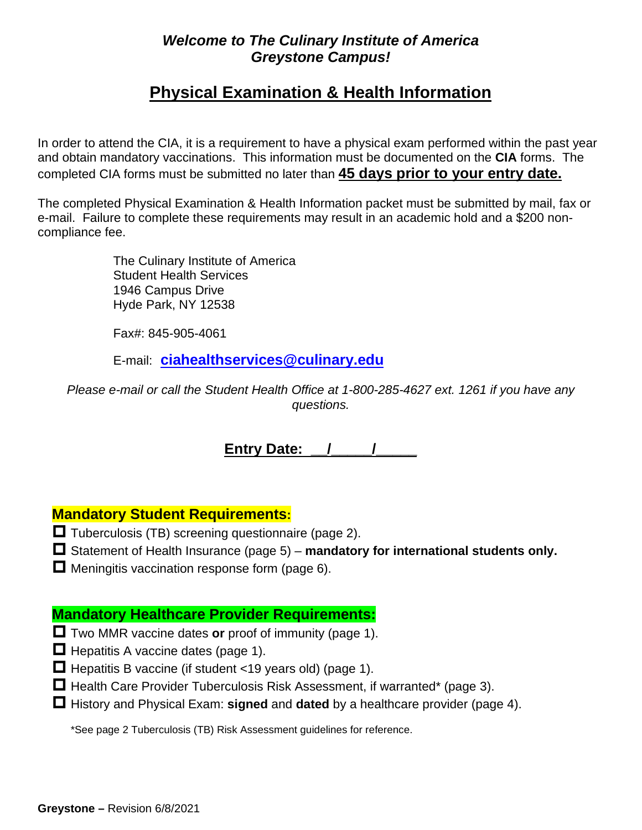## *Welcome to The Culinary Institute of America Greystone Campus!*

## **Physical Examination & Health Information**

In order to attend the CIA, it is a requirement to have a physical exam performed within the past year and obtain mandatory vaccinations. This information must be documented on the **CIA** forms. The completed CIA forms must be submitted no later than **45 days prior to your entry date.**

The completed Physical Examination & Health Information packet must be submitted by mail, fax or e-mail. Failure to complete these requirements may result in an academic hold and a \$200 noncompliance fee.

> The Culinary Institute of America Student Health Services 1946 Campus Drive Hyde Park, NY 12538

Fax#: 845-905-4061

E-mail: **[ciahealthservices@culinary.edu](mailto:ciahealthservices@culinary.edu)**

*Please e-mail or call the Student Health Office at 1-800-285-4627 ext. 1261 if you have any questions.*

**Entry Date:** / / /

## **Mandatory Student Requirements:**

- $\Box$  Tuberculosis (TB) screening questionnaire (page 2).
- Statement of Health Insurance (page 5) **mandatory for international students only.**

 $\Box$  Meningitis vaccination response form (page 6).

## **Mandatory Healthcare Provider Requirements:**

- Two MMR vaccine dates **or** proof of immunity (page 1).
- $\Box$  Hepatitis A vaccine dates (page 1).
- $\Box$  Hepatitis B vaccine (if student <19 years old) (page 1).
- $\Box$  Health Care Provider Tuberculosis Risk Assessment, if warranted\* (page 3).
- History and Physical Exam: **signed** and **dated** by a healthcare provider (page 4).

\*See page 2 Tuberculosis (TB) Risk Assessment guidelines for reference.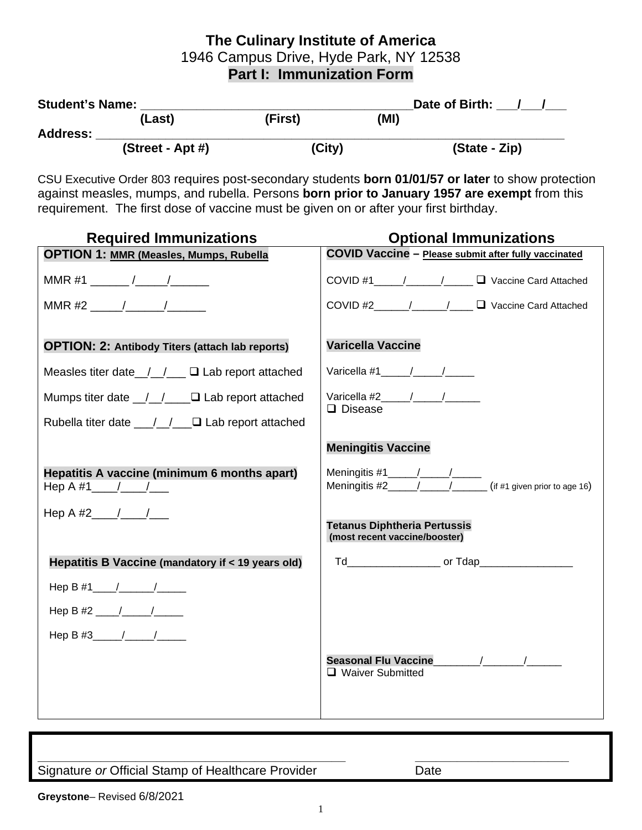## **The Culinary Institute of America** 1946 Campus Drive, Hyde Park, NY 12538 **Part I: Immunization Form**

| <b>Student's Name:</b> |                    | Date of Birth: |      |               |
|------------------------|--------------------|----------------|------|---------------|
|                        | (Last)             | (First)        | (MI) |               |
| <b>Address:</b>        | $(Street - Apt #)$ | (City)         |      | (State - Zip) |

CSU Executive Order 803 requires post-secondary students **born 01/01/57 or later** to show protection against measles, mumps, and rubella. Persons **born prior to January 1957 are exempt** from this requirement. The first dose of vaccine must be given on or after your first birthday.

| <b>Required Immunizations</b>                                      | <b>Optional Immunizations</b>                                        |
|--------------------------------------------------------------------|----------------------------------------------------------------------|
| <b>OPTION 1: MMR (Measles, Mumps, Rubella</b>                      | <b>COVID Vaccine - Please submit after fully vaccinated</b>          |
|                                                                    | COVID #1 _____/______/____ □ Vaccine Card Attached                   |
| MMR #2 $\qquad$ / $\qquad$                                         | COVID #2_______/_______/_____ □ Vaccine Card Attached                |
|                                                                    |                                                                      |
| <b>OPTION: 2: Antibody Titers (attach lab reports)</b>             | <b>Varicella Vaccine</b>                                             |
| Measles titer date $\angle$ / $\Box$ Lab report attached           |                                                                      |
| Mumps titer date $\angle$ / $\angle$ $\Box$ Lab report attached    | $\Box$ Disease                                                       |
| Rubella titer date $\frac{1}{\sqrt{2}}$ $\Box$ Lab report attached |                                                                      |
|                                                                    | <b>Meningitis Vaccine</b>                                            |
| Hepatitis A vaccine (minimum 6 months apart)<br>Hep A #1 $/$ / $/$ | Meningitis #2 $\sqrt{2}$ / $\sqrt{2}$ (if #1 given prior to age 16)  |
| Hep A #2 $/$ /                                                     | <b>Tetanus Diphtheria Pertussis</b><br>(most recent vaccine/booster) |
| Hepatitis B Vaccine (mandatory if < 19 years old)                  | Td________________________ or Tdap______________________             |
| Hep B #1 _____/__________/                                         |                                                                      |
|                                                                    |                                                                      |
|                                                                    |                                                                      |
|                                                                    | Seasonal Flu Vaccine 1997/1999/1999                                  |
|                                                                    | □ Waiver Submitted                                                   |
|                                                                    |                                                                      |
|                                                                    |                                                                      |

**\_\_\_\_\_\_\_\_\_\_\_\_\_\_\_\_\_\_\_\_\_\_\_\_\_\_\_\_\_\_\_\_\_\_\_\_\_\_\_\_\_\_\_\_ \_\_\_\_\_\_\_\_\_\_\_\_\_\_\_\_\_\_\_\_\_\_** Signature or Official Stamp of Healthcare Provider Date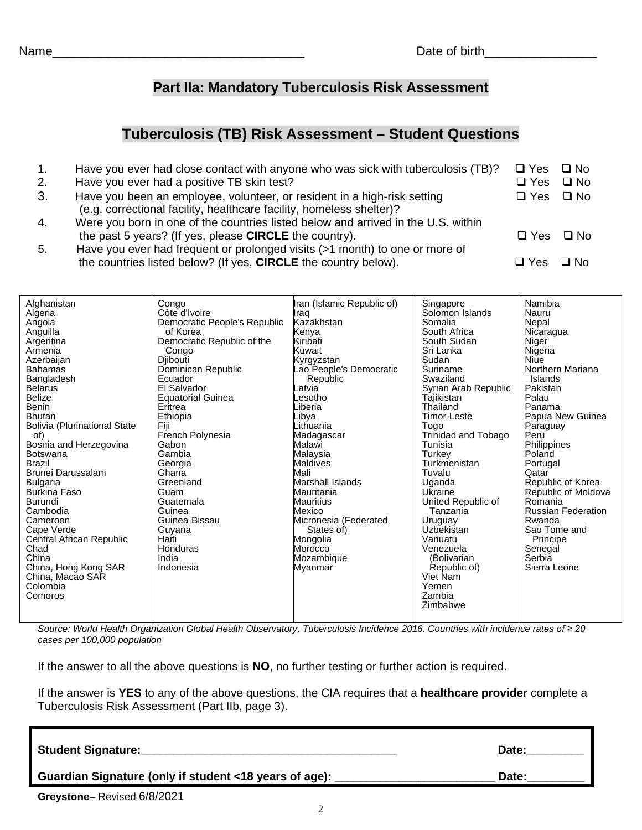## **Part IIa: Mandatory Tuberculosis Risk Assessment**

## **Tuberculosis (TB) Risk Assessment – Student Questions**

| 1. | Have you ever had close contact with anyone who was sick with tuberculosis (TB)?                                                                 | $\Box$ Yes | $\Box$ No    |
|----|--------------------------------------------------------------------------------------------------------------------------------------------------|------------|--------------|
| 2. | Have you ever had a positive TB skin test?                                                                                                       | $\Box$ Yes | $\Box$ No    |
| 3. | Have you been an employee, volunteer, or resident in a high-risk setting<br>(e.g. correctional facility, healthcare facility, homeless shelter)? | $\Box$ Yes | $\square$ No |
| 4. | Were you born in one of the countries listed below and arrived in the U.S. within                                                                |            |              |
|    | the past 5 years? (If yes, please <b>CIRCLE</b> the country).                                                                                    | $\Box$ Yes | □ No         |
| 5. | Have you ever had frequent or prolonged visits (>1 month) to one or more of                                                                      |            |              |
|    | the countries listed below? (If yes, CIRCLE the country below).                                                                                  | $\Box$ Yes | $\Box$ No    |
|    |                                                                                                                                                  |            |              |

| Afghanistan<br>Congo<br>Algeria<br>Côte d'Ivoire<br>Democratic People's Republic<br>Angola<br>Anguilla<br>of Korea<br>Democratic Republic of the<br>Argentina<br>Armenia<br>Congo<br>Azerbaijan<br><b>Diibouti</b><br>Bahamas<br>Dominican Republic<br>Bangladesh<br>Ecuador<br><b>Belarus</b><br>El Salvador<br><b>Belize</b><br><b>Equatorial Guinea</b><br>Benin<br>Eritrea<br><b>Bhutan</b><br>Ethiopia<br><b>Bolivia (Plurinational State</b><br>Fiji<br>French Polynesia<br>of)<br>Bosnia and Herzegovina<br>Gabon<br><b>Botswana</b><br>Gambia<br><b>Brazil</b><br>Georgia<br>Brunei Darussalam<br>Ghana<br><b>Bulgaria</b><br>Greenland<br>Guam<br><b>Burkina Faso</b><br>Burundi<br>Guatemala<br>Cambodia<br>Guinea<br>Guinea-Bissau<br>Cameroon<br>Cape Verde<br>Guyana<br>Central African Republic<br>Haiti<br>Chad<br>Honduras<br>China<br>India<br>China, Hong Kong SAR<br>Indonesia<br>China, Macao SAR<br>Colombia<br>Comoros | Iran (Islamic Republic of)<br>Iraq<br>Kazakhstan<br>Kenya<br>Kiribati<br>Kuwait<br>Kyrgyzstan<br>ao People's Democratic<br>Republic<br>_atvia<br>.esotho<br>_iberia<br>Libya<br>Lithuania<br>Madagascar<br>Malawi<br>Malaysia<br>Maldives<br>Mali<br><b>Marshall Islands</b><br>Mauritania<br><b>Mauritius</b><br>Mexico<br>Micronesia (Federated<br>States of)<br>Mongolia<br>Morocco<br>Mozambique<br>Myanmar | Singapore<br>Solomon Islands<br>Somalia<br>South Africa<br>South Sudan<br>Sri Lanka<br>Sudan<br>Suriname<br>Swaziland<br>Syrian Arab Republic<br>Tajikistan<br>Thailand<br>Timor-Leste<br>Togo<br>Trinidad and Tobago<br>Tunisia<br>Turkey<br>Turkmenistan<br>Tuvalu<br>Uganda<br>Ukraine<br>United Republic of<br>Tanzania<br>Uruguay<br>Uzbekistan<br>Vanuatu<br>Venezuela<br>(Bolivarian<br>Republic of)<br>Viet Nam<br>Yemen<br>Zambia<br>Zimbabwe | Namibia<br>Nauru<br>Nepal<br>Nicaragua<br>Niger<br>Nigeria<br>Niue<br>Northern Mariana<br>Islands<br>Pakistan<br>Palau<br>Panama<br>Papua New Guinea<br>Paraguay<br>Peru<br>Philippines<br>Poland<br>Portugal<br>Qatar<br>Republic of Korea<br>Republic of Moldova<br>Romania<br><b>Russian Federation</b><br>Rwanda<br>Sao Tome and<br>Principe<br>Senegal<br>Serbia<br>Sierra Leone |
|----------------------------------------------------------------------------------------------------------------------------------------------------------------------------------------------------------------------------------------------------------------------------------------------------------------------------------------------------------------------------------------------------------------------------------------------------------------------------------------------------------------------------------------------------------------------------------------------------------------------------------------------------------------------------------------------------------------------------------------------------------------------------------------------------------------------------------------------------------------------------------------------------------------------------------------------|-----------------------------------------------------------------------------------------------------------------------------------------------------------------------------------------------------------------------------------------------------------------------------------------------------------------------------------------------------------------------------------------------------------------|--------------------------------------------------------------------------------------------------------------------------------------------------------------------------------------------------------------------------------------------------------------------------------------------------------------------------------------------------------------------------------------------------------------------------------------------------------|---------------------------------------------------------------------------------------------------------------------------------------------------------------------------------------------------------------------------------------------------------------------------------------------------------------------------------------------------------------------------------------|
|----------------------------------------------------------------------------------------------------------------------------------------------------------------------------------------------------------------------------------------------------------------------------------------------------------------------------------------------------------------------------------------------------------------------------------------------------------------------------------------------------------------------------------------------------------------------------------------------------------------------------------------------------------------------------------------------------------------------------------------------------------------------------------------------------------------------------------------------------------------------------------------------------------------------------------------------|-----------------------------------------------------------------------------------------------------------------------------------------------------------------------------------------------------------------------------------------------------------------------------------------------------------------------------------------------------------------------------------------------------------------|--------------------------------------------------------------------------------------------------------------------------------------------------------------------------------------------------------------------------------------------------------------------------------------------------------------------------------------------------------------------------------------------------------------------------------------------------------|---------------------------------------------------------------------------------------------------------------------------------------------------------------------------------------------------------------------------------------------------------------------------------------------------------------------------------------------------------------------------------------|

*Source: World Health Organization Global Health Observatory, Tuberculosis Incidence 2016. Countries with incidence rates of ≥ 20 cases per 100,000 population*

If the answer to all the above questions is **NO**, no further testing or further action is required.

If the answer is **YES** to any of the above questions, the CIA requires that a **healthcare provider** complete a Tuberculosis Risk Assessment (Part IIb, page 3).

| <b>Student Signature:</b>                              | Date: |
|--------------------------------------------------------|-------|
| Guardian Signature (only if student <18 years of age): | Date: |
| .000000<br>$\sim$ $\sim$<br>$\overline{\phantom{0}}$   |       |

2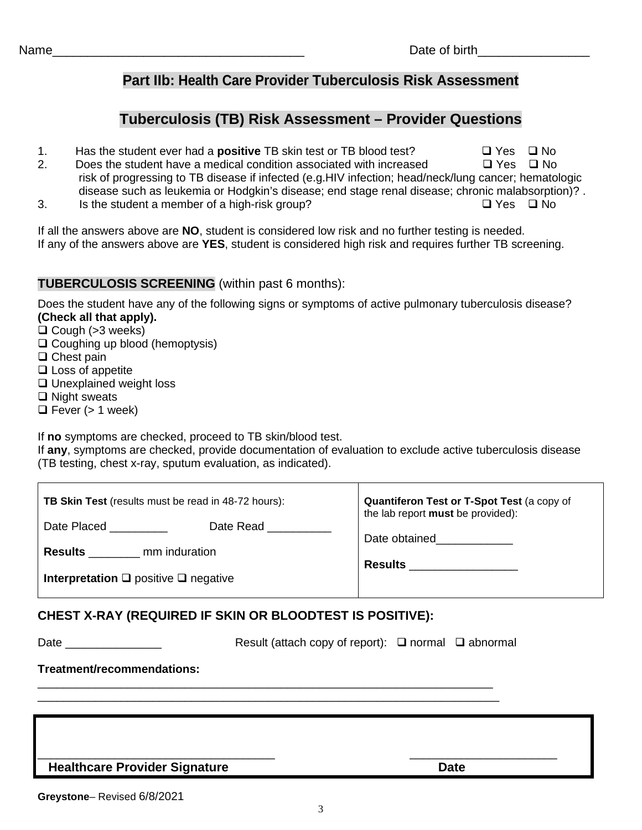Name\_\_\_\_\_\_\_\_\_\_\_\_\_\_\_\_\_\_\_\_\_\_\_\_\_\_\_\_\_\_\_\_\_\_\_\_ Date of birth\_\_\_\_\_\_\_\_\_\_\_\_\_\_\_\_

## **Part IIb: Health Care Provider Tuberculosis Risk Assessment**

## **Tuberculosis (TB) Risk Assessment – Provider Questions**

- 1. Has the student ever had a **positive** TB skin test or TB blood test?  $\Box$  Yes  $\Box$  No
- 2. Does the student have a medical condition associated with increased  $\Box$  Yes  $\Box$  No risk of progressing to TB disease if infected (e.g.HIV infection; head/neck/lung cancer; hematologic disease such as leukemia or Hodgkin's disease; end stage renal disease; chronic malabsorption)? .
- 3. Is the student a member of a high-risk group?  $\Box$  Yes  $\Box$  No

If all the answers above are **NO**, student is considered low risk and no further testing is needed. If any of the answers above are **YES**, student is considered high risk and requires further TB screening.

### **TUBERCULOSIS SCREENING** (within past 6 months):

Does the student have any of the following signs or symptoms of active pulmonary tuberculosis disease? **(Check all that apply).**

 $\Box$  Cough ( $>3$  weeks)

- $\Box$  Coughing up blood (hemoptysis)
- $\Box$  Chest pain
- $\square$  Loss of appetite
- □ Unexplained weight loss
- $\Box$  Night sweats
- $\Box$  Fever (> 1 week)

If **no** symptoms are checked, proceed to TB skin/blood test.

If **any**, symptoms are checked, provide documentation of evaluation to exclude active tuberculosis disease (TB testing, chest x-ray, sputum evaluation, as indicated).

| <b>TB Skin Test</b> (results must be read in 48-72 hours): | Quantiferon Test or T-Spot Test (a copy of<br>the lab report must be provided): |
|------------------------------------------------------------|---------------------------------------------------------------------------------|
| Date Placed<br>Date Read                                   | Date obtained                                                                   |
| mm induration<br><b>Results</b>                            | <b>Results</b>                                                                  |
| Interpretation $\square$ positive $\square$ negative       |                                                                                 |

### **CHEST X-RAY (REQUIRED IF SKIN OR BLOODTEST IS POSITIVE):**

\_\_\_\_\_\_\_\_\_\_\_\_\_\_\_\_\_\_\_\_\_\_\_\_\_\_\_\_\_\_\_\_\_\_\_\_\_\_\_\_\_\_\_\_\_\_\_\_\_\_\_\_\_\_\_\_\_\_\_\_\_\_\_\_\_\_\_\_\_\_\_ \_\_\_\_\_\_\_\_\_\_\_\_\_\_\_\_\_\_\_\_\_\_\_\_\_\_\_\_\_\_\_\_\_\_\_\_\_\_\_\_\_\_\_\_\_\_\_\_\_\_\_\_\_\_\_\_\_\_\_\_\_\_\_\_\_\_\_\_\_\_\_\_

Date \_\_\_\_\_\_\_\_\_\_\_\_\_\_\_ Result (attach copy of report): normal abnormal

### **Treatment/recommendations:**

| <b>Healthcare Provider Signature</b> | Date |
|--------------------------------------|------|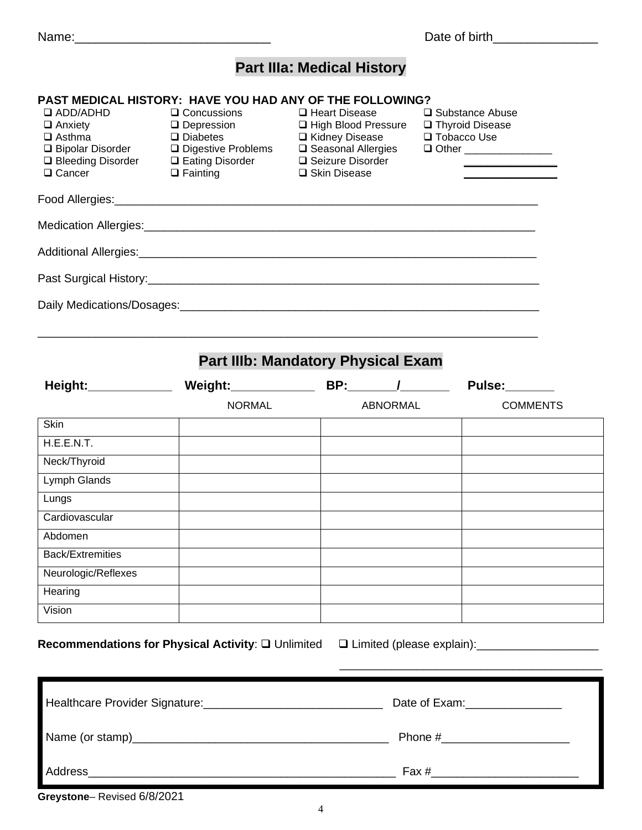Abdomen

**Hearing** Vision

Back/Extremities Neurologic/Reflexes

Name:\_\_\_\_\_\_\_\_\_\_\_\_\_\_\_\_\_\_\_\_\_\_\_\_\_\_\_\_ Date of birth\_\_\_\_\_\_\_\_\_\_\_\_\_\_\_

# **Part IIIa: Medical History**

## **PAST MEDICAL HISTORY: HAVE YOU HAD ANY OF THE FOLLOWING?**

| $\Box$ ADD/ADHD<br>$\Box$ Anxiety<br>$\Box$ Asthma<br>$\Box$ Cancer | $\Box$ Concussions<br>$\Box$ Depression<br>$\Box$ Diabetes<br>□ Bleeding Disorder □ Eating Disorder □ Seizure Disorder<br>$\Box$ Fainting | $\Box$ Heart Disease<br>□ High Blood Pressure □ Thyroid Disease<br>□ Kidney Disease<br>□ Skin Disease                                                                                                                          | □ Substance Abuse<br>□ Tobacco Use<br>□ Other __________________ |                 |
|---------------------------------------------------------------------|-------------------------------------------------------------------------------------------------------------------------------------------|--------------------------------------------------------------------------------------------------------------------------------------------------------------------------------------------------------------------------------|------------------------------------------------------------------|-----------------|
|                                                                     |                                                                                                                                           |                                                                                                                                                                                                                                |                                                                  |                 |
|                                                                     |                                                                                                                                           | Medication Allergies: Management of the Contract of the Contract of the Contract of the Contract of the Contract of the Contract of the Contract of the Contract of the Contract of the Contract of the Contract of the Contra |                                                                  |                 |
|                                                                     |                                                                                                                                           |                                                                                                                                                                                                                                |                                                                  |                 |
|                                                                     |                                                                                                                                           |                                                                                                                                                                                                                                |                                                                  |                 |
|                                                                     |                                                                                                                                           |                                                                                                                                                                                                                                |                                                                  |                 |
|                                                                     |                                                                                                                                           | <b>Part IIIb: Mandatory Physical Exam</b>                                                                                                                                                                                      |                                                                  |                 |
|                                                                     |                                                                                                                                           |                                                                                                                                                                                                                                | <b>Pulse:</b> 2020                                               |                 |
|                                                                     | <b>NORMAL</b>                                                                                                                             | <b>ABNORMAL</b>                                                                                                                                                                                                                |                                                                  | <b>COMMENTS</b> |
| Skin                                                                |                                                                                                                                           |                                                                                                                                                                                                                                |                                                                  |                 |
| H.E.E.N.T.                                                          |                                                                                                                                           |                                                                                                                                                                                                                                |                                                                  |                 |
| Neck/Thyroid                                                        |                                                                                                                                           |                                                                                                                                                                                                                                |                                                                  |                 |
| Lymph Glands                                                        |                                                                                                                                           |                                                                                                                                                                                                                                |                                                                  |                 |
| Lungs                                                               |                                                                                                                                           |                                                                                                                                                                                                                                |                                                                  |                 |
| Cardiovascular                                                      |                                                                                                                                           |                                                                                                                                                                                                                                |                                                                  |                 |

Recommendations for Physical Activity:  $\square$  Unlimited  $\square$  Limited (please explain): \_\_\_\_\_\_\_\_\_\_\_\_\_\_\_\_\_\_\_\_\_\_\_\_\_\_\_\_\_\_\_

\_\_\_\_\_\_\_\_\_\_\_\_\_\_\_\_\_\_\_\_\_\_\_\_\_\_\_\_\_\_\_\_\_\_\_\_\_\_\_\_\_

|         | Phone # $\frac{1}{2}$ $\frac{1}{2}$ $\frac{1}{2}$ $\frac{1}{2}$ $\frac{1}{2}$ $\frac{1}{2}$ $\frac{1}{2}$ $\frac{1}{2}$ $\frac{1}{2}$ $\frac{1}{2}$ $\frac{1}{2}$ $\frac{1}{2}$ $\frac{1}{2}$ $\frac{1}{2}$ $\frac{1}{2}$ $\frac{1}{2}$ $\frac{1}{2}$ $\frac{1}{2}$ $\frac{1}{2}$ $\frac{1}{2}$ $\frac{1}{2}$ $\frac$ |
|---------|-----------------------------------------------------------------------------------------------------------------------------------------------------------------------------------------------------------------------------------------------------------------------------------------------------------------------|
| Address | $\text{Fax} \#$                                                                                                                                                                                                                                                                                                       |

4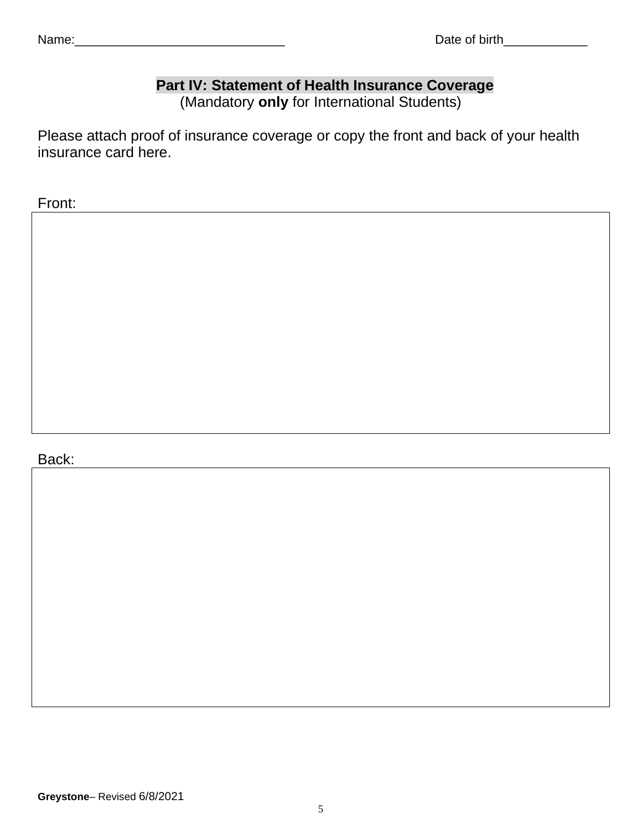# **Part IV: Statement of Health Insurance Coverage**

(Mandatory **only** for International Students)

Please attach proof of insurance coverage or copy the front and back of your health insurance card here.

Front:

## Back: